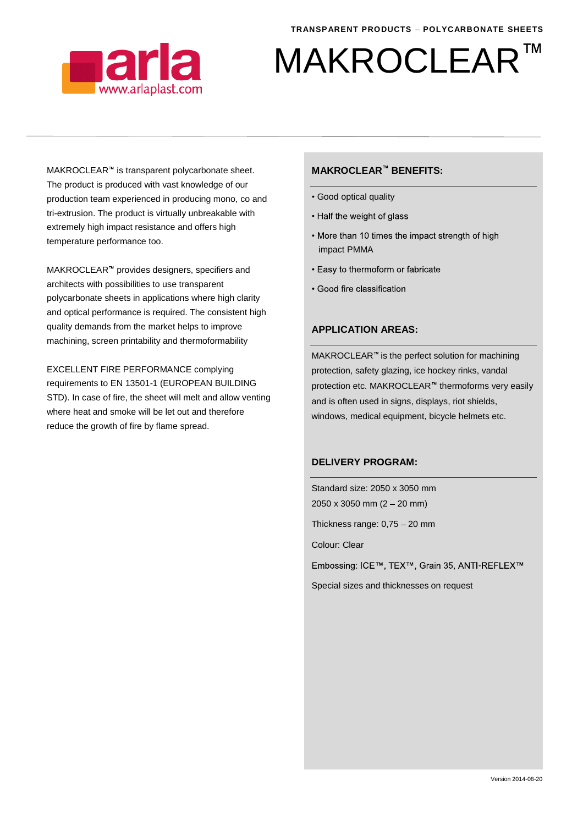

# TM MAKROCLEAR

MAKROCLEAR<sup>™</sup> is transparent polycarbonate sheet. The product is produced with vast knowledge of our production team experienced in producing mono, co and tri-extrusion. The product is virtually unbreakable with extremely high impact resistance and offers high temperature performance too.

MAKROCLEAR<sup>™</sup> provides designers, specifiers and architects with possibilities to use transparent polycarbonate sheets in applications where high clarity and optical performance is required. The consistent high quality demands from the market helps to improve machining, screen printability and thermoformability

EXCELLENT FIRE PERFORMANCE complying requirements to EN 13501-1 (EUROPEAN BUILDING STD). In case of fire, the sheet will melt and allow venting where heat and smoke will be let out and therefore reduce the growth of fire by flame spread.

### **MAKROCLEAR<sup>™</sup> BENEFITS:**

- Good optical quality
- Half the weight of glass
- More than 10 times the impact strength of high impact PMMA
- Easy to thermoform or fabricate
- Good fire classification

#### **APPLICATION AREAS:**

 $MAKROCLEAR <sup>$m$</sup>$  is the perfect solution for machining protection, safety glazing, ice hockey rinks, vandal protection etc. MAKROCLEAR<sup>™</sup> thermoforms very easily and is often used in signs, displays, riot shields, windows, medical equipment, bicycle helmets etc.

#### **DELIVERY PROGRAM:**

Standard size: 2050 x 3050 mm  $2050 \times 3050$  mm  $(2 - 20$  mm)

Thickness range:  $0,75 - 20$  mm

Colour: Clear

Embossing: ICE™, TEX™, Grain 35, ANTI-REFLEX™

Special sizes and thicknesses on request